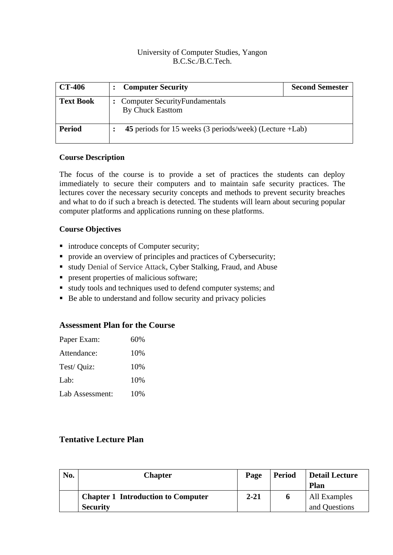## University of Computer Studies, Yangon B.C.Sc./B.C.Tech.

| <b>CT-406</b>    | <b>Computer Security</b>                                        | <b>Second Semester</b> |
|------------------|-----------------------------------------------------------------|------------------------|
| <b>Text Book</b> | <b>Computer SecurityFundamentals</b><br><b>By Chuck Easttom</b> |                        |
| <b>Period</b>    | 45 periods for 15 weeks (3 periods/week) (Lecture +Lab)         |                        |

### **Course Description**

The focus of the course is to provide a set of practices the students can deploy immediately to secure their computers and to maintain safe security practices. The lectures cover the necessary security concepts and methods to prevent security breaches and what to do if such a breach is detected. The students will learn about securing popular computer platforms and applications running on these platforms.

# **Course Objectives**

- introduce concepts of Computer security;
- provide an overview of principles and practices of Cybersecurity;
- study Denial of Service Attack, Cyber Stalking, Fraud, and Abuse
- **•** present properties of malicious software;
- study tools and techniques used to defend computer systems; and
- Be able to understand and follow security and privacy policies

#### **Assessment Plan for the Course**

| Paper Exam:     | 60% |
|-----------------|-----|
| Attendance:     | 10% |
| Test/ Quiz:     | 10% |
| Lab:            | 10% |
| Lab Assessment: | 10% |

# **Tentative Lecture Plan**

| No. | <b>Chapter</b>                            | Page     | <b>Period</b> | Detail Lecture<br><b>Plan</b> |
|-----|-------------------------------------------|----------|---------------|-------------------------------|
|     | <b>Chapter 1 Introduction to Computer</b> | $2 - 21$ |               | All Examples                  |
|     | <b>Security</b>                           |          |               | and Questions                 |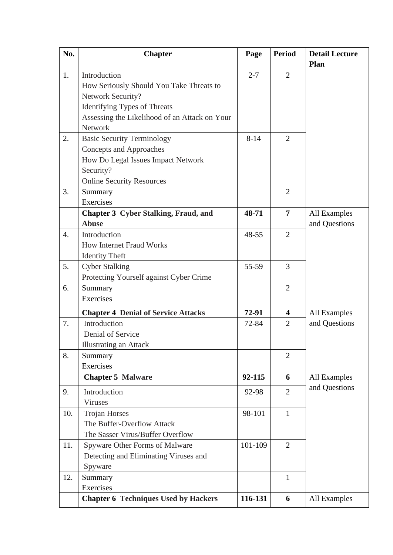| No.              | <b>Chapter</b>                                | Page     | <b>Period</b>  | <b>Detail Lecture</b> |
|------------------|-----------------------------------------------|----------|----------------|-----------------------|
|                  |                                               |          |                | Plan                  |
| 1.               | Introduction                                  | $2 - 7$  | $\overline{2}$ |                       |
|                  | How Seriously Should You Take Threats to      |          |                |                       |
|                  | Network Security?                             |          |                |                       |
|                  | <b>Identifying Types of Threats</b>           |          |                |                       |
|                  | Assessing the Likelihood of an Attack on Your |          |                |                       |
|                  | Network                                       |          |                |                       |
| 2.               | <b>Basic Security Terminology</b>             | $8 - 14$ | $\overline{2}$ |                       |
|                  | <b>Concepts and Approaches</b>                |          |                |                       |
|                  | How Do Legal Issues Impact Network            |          |                |                       |
|                  | Security?                                     |          |                |                       |
|                  | <b>Online Security Resources</b>              |          |                |                       |
| 3.               | Summary                                       |          | $\overline{2}$ |                       |
|                  | Exercises                                     |          |                |                       |
|                  | <b>Chapter 3 Cyber Stalking, Fraud, and</b>   | 48-71    | $\overline{7}$ | All Examples          |
|                  | <b>Abuse</b>                                  |          |                | and Questions         |
| $\overline{4}$ . | Introduction                                  | 48-55    | $\overline{2}$ |                       |
|                  | <b>How Internet Fraud Works</b>               |          |                |                       |
|                  | <b>Identity Theft</b>                         |          |                |                       |
| 5.               | <b>Cyber Stalking</b>                         | 55-59    | $\overline{3}$ |                       |
|                  | Protecting Yourself against Cyber Crime       |          |                |                       |
| 6.               | Summary                                       |          | $\overline{2}$ |                       |
|                  | Exercises                                     |          |                |                       |
|                  | <b>Chapter 4 Denial of Service Attacks</b>    | 72-91    | 4              | All Examples          |
| 7.               | Introduction                                  | 72-84    | $\overline{2}$ | and Questions         |
|                  | Denial of Service                             |          |                |                       |
|                  | <b>Illustrating an Attack</b>                 |          |                |                       |
| 8.               | Summary                                       |          | $\overline{2}$ |                       |
|                  | Exercises                                     |          |                |                       |
|                  | <b>Chapter 5 Malware</b>                      | 92-115   | 6              | All Examples          |
| 9.               | Introduction                                  | 92-98    | $\overline{2}$ | and Questions         |
|                  | Viruses                                       |          |                |                       |
| 10.              | <b>Trojan Horses</b>                          | 98-101   | $\mathbf{1}$   |                       |
|                  | The Buffer-Overflow Attack                    |          |                |                       |
|                  | The Sasser Virus/Buffer Overflow              |          |                |                       |
| 11.              | Spyware Other Forms of Malware                | 101-109  | $\overline{2}$ |                       |
|                  | Detecting and Eliminating Viruses and         |          |                |                       |
|                  | Spyware                                       |          |                |                       |
| 12.              | Summary                                       |          | $\mathbf{1}$   |                       |
|                  | Exercises                                     |          |                |                       |
|                  | <b>Chapter 6 Techniques Used by Hackers</b>   | 116-131  | 6              | All Examples          |